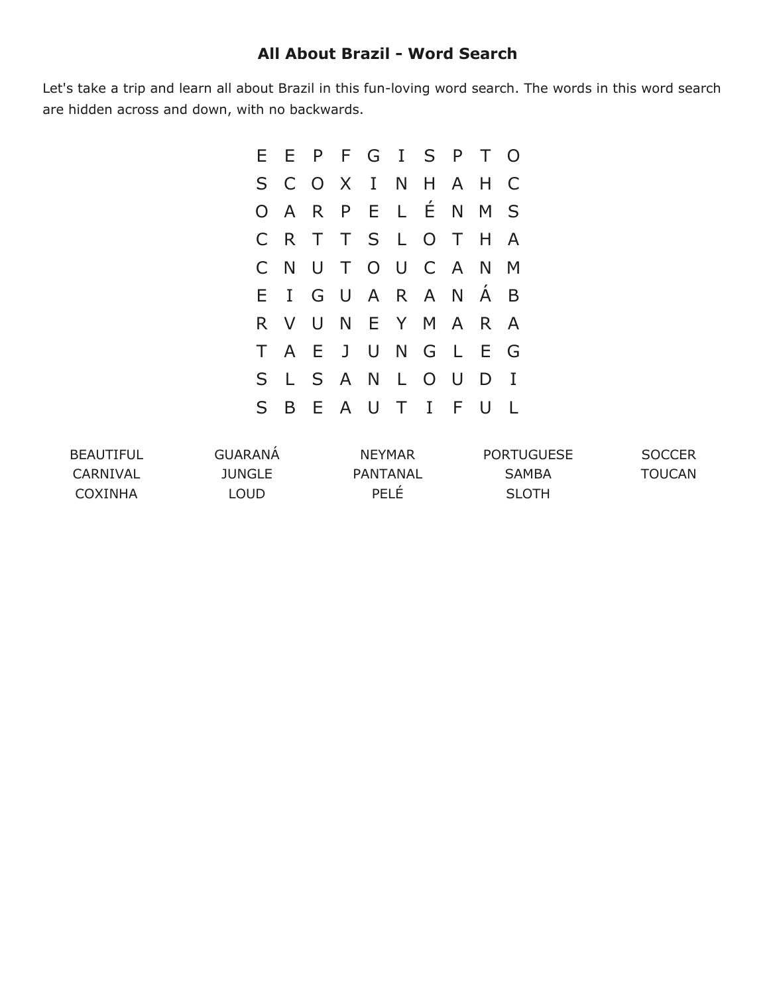## **All About Brazil Word Search**

Let's take a trip and learn all about Brazil in this fun-loving word search. The words in this word search are hidden across and down, with no backwards.

|   |     | E E P F G I S P T O |  |  |         |             |  |
|---|-----|---------------------|--|--|---------|-------------|--|
|   |     | S C O X I N H A H   |  |  |         | C           |  |
|   |     | OARPELÉNM           |  |  |         | S           |  |
|   | C R | T T S L O T H A     |  |  |         |             |  |
|   |     | CNUTOUCANM          |  |  |         |             |  |
|   |     |                     |  |  |         |             |  |
|   |     | EIGUARANAB          |  |  |         |             |  |
|   |     | R V U N E Y M A     |  |  | $R$ $A$ |             |  |
|   | T A | E J U N G L         |  |  | E G     |             |  |
| S | L   | SANLOU              |  |  | D       | $\mathbf I$ |  |

| <b>BEAUTIFUL</b> | GUARANA       | <b>NFYMAR</b> | <b>PORTUGUESE</b> | <b>SOCCER</b> |
|------------------|---------------|---------------|-------------------|---------------|
| CARNIVAL         | <b>JUNGLE</b> | PANTANAL      | SAMBA             | TOUCAN        |
| COXINHA          | LOUD          | <b>PELE</b>   | <b>SLOTH</b>      |               |